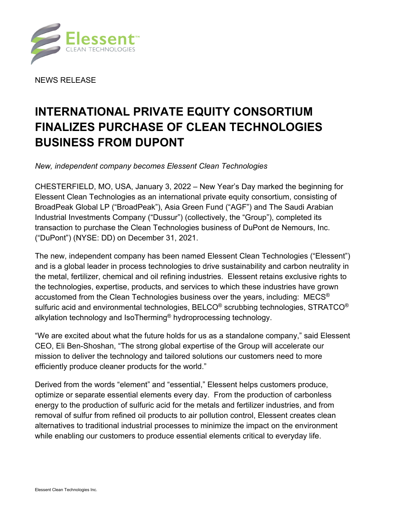

NEWS RELEASE

# **INTERNATIONAL PRIVATE EQUITY CONSORTIUM FINALIZES PURCHASE OF CLEAN TECHNOLOGIES BUSINESS FROM DUPONT**

*New, independent company becomes Elessent Clean Technologies* 

CHESTERFIELD, MO, USA, January 3, 2022 – New Year's Day marked the beginning for Elessent Clean Technologies as an international private equity consortium, consisting of BroadPeak Global LP ("BroadPeak"), Asia Green Fund ("AGF") and The Saudi Arabian Industrial Investments Company ("Dussur") (collectively, the "Group"), completed its transaction to purchase the Clean Technologies business of DuPont de Nemours, Inc. ("DuPont") (NYSE: DD) on December 31, 2021.

The new, independent company has been named Elessent Clean Technologies ("Elessent") and is a global leader in process technologies to drive sustainability and carbon neutrality in the metal, fertilizer, chemical and oil refining industries. Elessent retains exclusive rights to the technologies, expertise, products, and services to which these industries have grown accustomed from the Clean Technologies business over the years, including: MECS® sulfuric acid and environmental technologies, BELCO<sup>®</sup> scrubbing technologies, STRATCO<sup>®</sup> alkylation technology and IsoTherming<sup>®</sup> hydroprocessing technology.

"We are excited about what the future holds for us as a standalone company," said Elessent CEO, Eli Ben-Shoshan, "The strong global expertise of the Group will accelerate our mission to deliver the technology and tailored solutions our customers need to more efficiently produce cleaner products for the world."

Derived from the words "element" and "essential," Elessent helps customers produce, optimize or separate essential elements every day. From the production of carbonless energy to the production of sulfuric acid for the metals and fertilizer industries, and from removal of sulfur from refined oil products to air pollution control, Elessent creates clean alternatives to traditional industrial processes to minimize the impact on the environment while enabling our customers to produce essential elements critical to everyday life.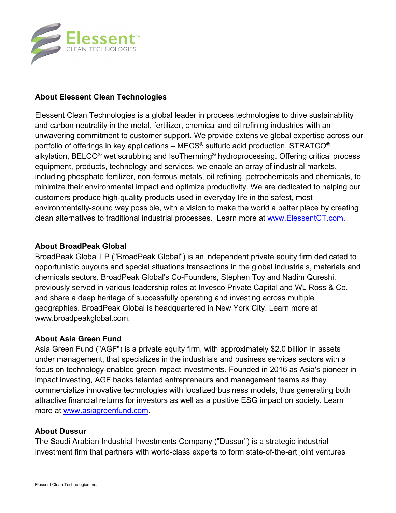

## **About Elessent Clean Technologies**

Elessent Clean Technologies is a global leader in process technologies to drive sustainability and carbon neutrality in the metal, fertilizer, chemical and oil refining industries with an unwavering commitment to customer support. We provide extensive global expertise across our portfolio of offerings in key applications – MECS<sup>®</sup> sulfuric acid production, STRATCO<sup>®</sup> alkylation, BELCO® wet scrubbing and IsoTherming® hydroprocessing. Offering critical process equipment, products, technology and services, we enable an array of industrial markets, including phosphate fertilizer, non-ferrous metals, oil refining, petrochemicals and chemicals, to minimize their environmental impact and optimize productivity. We are dedicated to helping our customers produce high-quality products used in everyday life in the safest, most environmentally-sound way possible, with a vision to make the world a better place by creating clean alternatives to traditional industrial processes. Learn more at www.ElessentCT.com.

### **About BroadPeak Global**

BroadPeak Global LP ("BroadPeak Global") is an independent private equity firm dedicated to opportunistic buyouts and special situations transactions in the global industrials, materials and chemicals sectors. BroadPeak Global's Co-Founders, Stephen Toy and Nadim Qureshi, previously served in various leadership roles at Invesco Private Capital and WL Ross & Co. and share a deep heritage of successfully operating and investing across multiple geographies. BroadPeak Global is headquartered in New York City. Learn more at www.broadpeakglobal.com.

## **About Asia Green Fund**

Asia Green Fund ("AGF") is a private equity firm, with approximately \$2.0 billion in assets under management, that specializes in the industrials and business services sectors with a focus on technology-enabled green impact investments. Founded in 2016 as Asia's pioneer in impact investing, AGF backs talented entrepreneurs and management teams as they commercialize innovative technologies with localized business models, thus generating both attractive financial returns for investors as well as a positive ESG impact on society. Learn more at www.asiagreenfund.com.

### **About Dussur**

The Saudi Arabian Industrial Investments Company ("Dussur") is a strategic industrial investment firm that partners with world-class experts to form state-of-the-art joint ventures